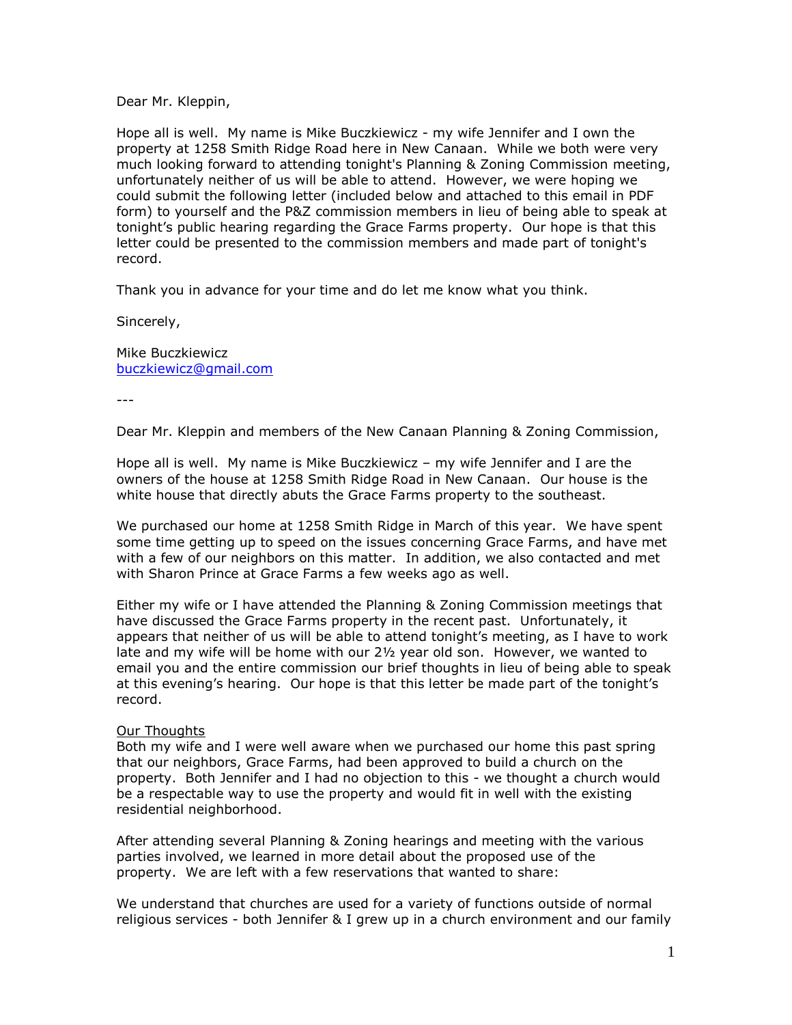Dear Mr. Kleppin,

Hope all is well. My name is Mike Buczkiewicz - my wife Jennifer and I own the property at 1258 Smith Ridge Road here in New Canaan. While we both were very much looking forward to attending tonight's Planning & Zoning Commission meeting, unfortunately neither of us will be able to attend. However, we were hoping we could submit the following letter (included below and attached to this email in PDF form) to yourself and the P&Z commission members in lieu of being able to speak at tonight's public hearing regarding the Grace Farms property. Our hope is that this letter could be presented to the commission members and made part of tonight's record.

Thank you in advance for your time and do let me know what you think.

Sincerely,

Mike Buczkiewicz [buczkiewicz@gmail.com](mailto:buczkiewicz@gmail.com)

---

Dear Mr. Kleppin and members of the New Canaan Planning & Zoning Commission,

Hope all is well. My name is Mike Buczkiewicz – my wife Jennifer and I are the owners of the house at 1258 Smith Ridge Road in New Canaan. Our house is the white house that directly abuts the Grace Farms property to the southeast.

We purchased our home at 1258 Smith Ridge in March of this year. We have spent some time getting up to speed on the issues concerning Grace Farms, and have met with a few of our neighbors on this matter. In addition, we also contacted and met with Sharon Prince at Grace Farms a few weeks ago as well.

Either my wife or I have attended the Planning & Zoning Commission meetings that have discussed the Grace Farms property in the recent past. Unfortunately, it appears that neither of us will be able to attend tonight's meeting, as I have to work late and my wife will be home with our 2½ year old son. However, we wanted to email you and the entire commission our brief thoughts in lieu of being able to speak at this evening's hearing. Our hope is that this letter be made part of the tonight's record.

## Our Thoughts

Both my wife and I were well aware when we purchased our home this past spring that our neighbors, Grace Farms, had been approved to build a church on the property. Both Jennifer and I had no objection to this - we thought a church would be a respectable way to use the property and would fit in well with the existing residential neighborhood.

After attending several Planning & Zoning hearings and meeting with the various parties involved, we learned in more detail about the proposed use of the property. We are left with a few reservations that wanted to share:

We understand that churches are used for a variety of functions outside of normal religious services - both Jennifer & I grew up in a church environment and our family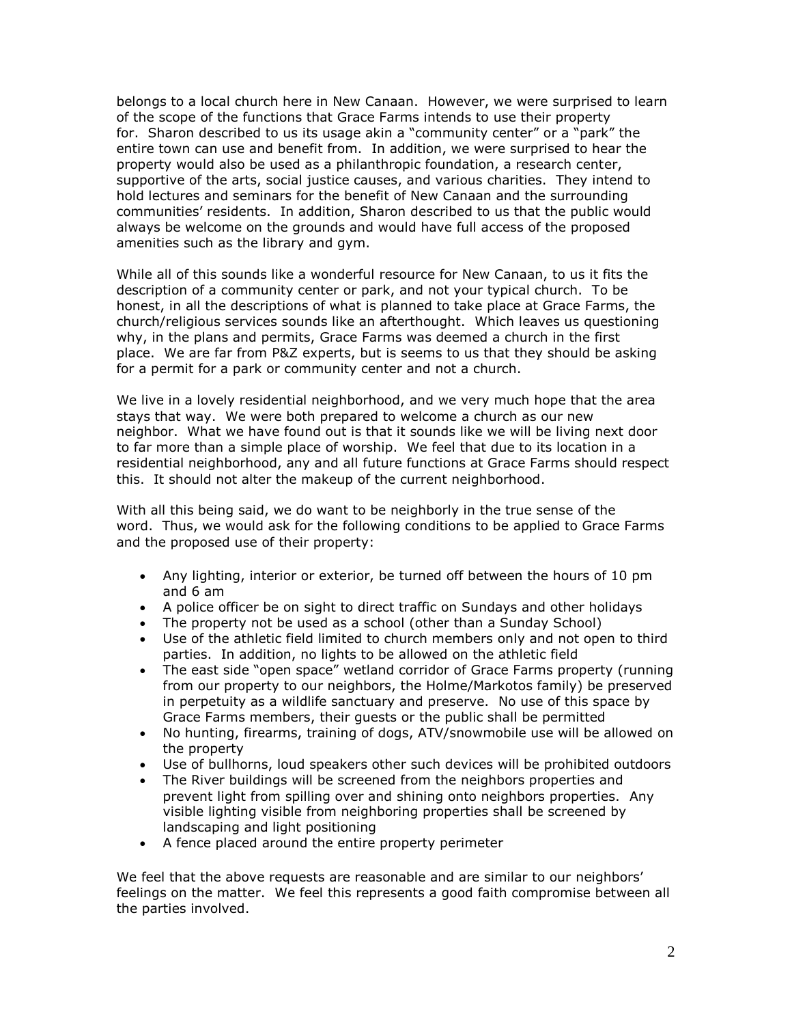belongs to a local church here in New Canaan. However, we were surprised to learn of the scope of the functions that Grace Farms intends to use their property for. Sharon described to us its usage akin a "community center" or a "park" the entire town can use and benefit from. In addition, we were surprised to hear the property would also be used as a philanthropic foundation, a research center, supportive of the arts, social justice causes, and various charities. They intend to hold lectures and seminars for the benefit of New Canaan and the surrounding communities' residents. In addition, Sharon described to us that the public would always be welcome on the grounds and would have full access of the proposed amenities such as the library and gym.

While all of this sounds like a wonderful resource for New Canaan, to us it fits the description of a community center or park, and not your typical church. To be honest, in all the descriptions of what is planned to take place at Grace Farms, the church/religious services sounds like an afterthought. Which leaves us questioning why, in the plans and permits, Grace Farms was deemed a church in the first place. We are far from P&Z experts, but is seems to us that they should be asking for a permit for a park or community center and not a church.

We live in a lovely residential neighborhood, and we very much hope that the area stays that way. We were both prepared to welcome a church as our new neighbor. What we have found out is that it sounds like we will be living next door to far more than a simple place of worship. We feel that due to its location in a residential neighborhood, any and all future functions at Grace Farms should respect this. It should not alter the makeup of the current neighborhood.

With all this being said, we do want to be neighborly in the true sense of the word. Thus, we would ask for the following conditions to be applied to Grace Farms and the proposed use of their property:

- Any lighting, interior or exterior, be turned off between the hours of 10 pm and 6 am
- A police officer be on sight to direct traffic on Sundays and other holidays
- The property not be used as a school (other than a Sunday School)
- Use of the athletic field limited to church members only and not open to third parties. In addition, no lights to be allowed on the athletic field
- The east side "open space" wetland corridor of Grace Farms property (running from our property to our neighbors, the Holme/Markotos family) be preserved in perpetuity as a wildlife sanctuary and preserve. No use of this space by Grace Farms members, their guests or the public shall be permitted
- No hunting, firearms, training of dogs, ATV/snowmobile use will be allowed on the property
- Use of bullhorns, loud speakers other such devices will be prohibited outdoors
- The River buildings will be screened from the neighbors properties and prevent light from spilling over and shining onto neighbors properties. Any visible lighting visible from neighboring properties shall be screened by landscaping and light positioning
- A fence placed around the entire property perimeter

We feel that the above requests are reasonable and are similar to our neighbors' feelings on the matter. We feel this represents a good faith compromise between all the parties involved.